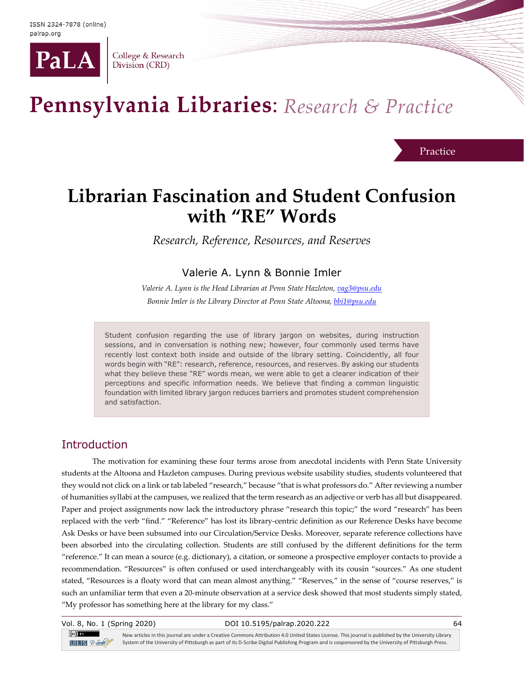

College & Research Division (CRD)

# Pennsylvania Libraries: Research & Practice

Practice

## **Librarian Fascination and Student Confusion with "RE" Words**

*Research, Reference, Resources, and Reserves*

## Valerie A. Lynn & Bonnie Imler

*Valerie A. Lynn is the Head Librarian at Penn State Hazleton, [vag3@psu.edu](mailto:vag3@psu.edu) Bonnie Imler is the Library Director at Penn State Altoona, [bbi1@psu.edu](mailto:bbi1@psu.edu)*

Student confusion regarding the use of library jargon on websites, during instruction sessions, and in conversation is nothing new; however, four commonly used terms have recently lost context both inside and outside of the library setting. Coincidently, all four words begin with "RE": research, reference, resources, and reserves. By asking our students what they believe these "RE" words mean, we were able to get a clearer indication of their perceptions and specific information needs. We believe that finding a common linguistic foundation with limited library jargon reduces barriers and promotes student comprehension and satisfaction.

## **Introduction**

The motivation for examining these four terms arose from anecdotal incidents with Penn State University students at the Altoona and Hazleton campuses. During previous website usability studies, students volunteered that they would not click on a link or tab labeled "research," because "that is what professors do." After reviewing a number of humanities syllabi at the campuses, we realized that the term research as an adjective or verb has all but disappeared. Paper and project assignments now lack the introductory phrase "research this topic;" the word "research" has been replaced with the verb "find." "Reference" has lost its library-centric definition as our Reference Desks have become Ask Desks or have been subsumed into our Circulation/Service Desks. Moreover, separate reference collections have been absorbed into the circulating collection. Students are still confused by the different definitions for the term "reference." It can mean a source (e.g. dictionary), a citation, or someone a prospective employer contacts to provide a recommendation. "Resources" is often confused or used interchangeably with its cousin "sources." As one student stated, "Resources is a floaty word that can mean almost anything." "Reserves," in the sense of "course reserves," is such an unfamiliar term that even a 20-minute observation at a service desk showed that most students simply stated, "My professor has something here at the library for my class."

Vol. 8, No. 1 (Spring 2020) DOI 10.5195/palrap.2020.222 64

 $\left(\mathrm{cc}\right)$  BY  $IIIIS 2-Set$ 

New articles in this journal are under a Creative Commons Attribution 4.0 United States License. This journal is published by the University Library System of the University of Pittsburgh as part of its D-Scribe Digital Publishing Program and is cosponsored by the University of Pittsburgh Press.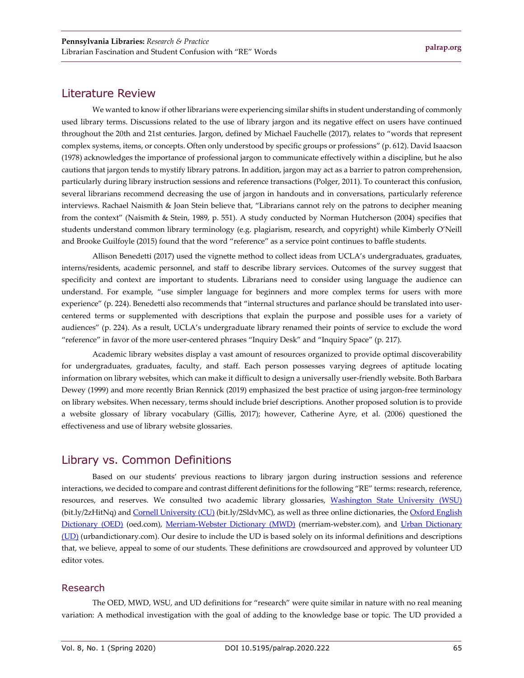## Literature Review

We wanted to know if other librarians were experiencing similar shifts in student understanding of commonly used library terms. Discussions related to the use of library jargon and its negative effect on users have continued throughout the 20th and 21st centuries. Jargon, defined by Michael Fauchelle (2017), relates to "words that represent complex systems, items, or concepts. Often only understood by specific groups or professions" (p. 612). David Isaacson (1978) acknowledges the importance of professional jargon to communicate effectively within a discipline, but he also cautions that jargon tends to mystify library patrons. In addition, jargon may act as a barrier to patron comprehension, particularly during library instruction sessions and reference transactions (Polger, 2011). To counteract this confusion, several librarians recommend decreasing the use of jargon in handouts and in conversations, particularly reference interviews. Rachael Naismith & Joan Stein believe that, "Librarians cannot rely on the patrons to decipher meaning from the context" (Naismith & Stein, 1989, p. 551). A study conducted by Norman Hutcherson (2004) specifies that students understand common library terminology (e.g. plagiarism, research, and copyright) while Kimberly O'Neill and Brooke Guilfoyle (2015) found that the word "reference" as a service point continues to baffle students.

Allison Benedetti (2017) used the vignette method to collect ideas from UCLA's undergraduates, graduates, interns/residents, academic personnel, and staff to describe library services. Outcomes of the survey suggest that specificity and context are important to students. Librarians need to consider using language the audience can understand. For example, "use simpler language for beginners and more complex terms for users with more experience" (p. 224). Benedetti also recommends that "internal structures and parlance should be translated into usercentered terms or supplemented with descriptions that explain the purpose and possible uses for a variety of audiences" (p. 224). As a result, UCLA's undergraduate library renamed their points of service to exclude the word "reference" in favor of the more user-centered phrases "Inquiry Desk" and "Inquiry Space" (p. 217).

Academic library websites display a vast amount of resources organized to provide optimal discoverability for undergraduates, graduates, faculty, and staff. Each person possesses varying degrees of aptitude locating information on library websites, which can make it difficult to design a universally user-friendly website. Both Barbara Dewey (1999) and more recently Brian Rennick (2019) emphasized the best practice of using jargon-free terminology on library websites. When necessary, terms should include brief descriptions. Another proposed solution is to provide a website glossary of library vocabulary (Gillis, 2017); however, Catherine Ayre, et al. (2006) questioned the effectiveness and use of library website glossaries.

## Library vs. Common Definitions

Based on our students' previous reactions to library jargon during instruction sessions and reference interactions, we decided to compare and contrast different definitions for the following "RE" terms: research, reference, resources, and reserves. We consulted two academic library glossaries, [Washington State University \(WSU\)](https://libguides.libraries.wsu.edu/c.php?g=294153&p=1960842) (bit.ly/2zHitNq) an[d Cornell University \(CU\)](https://olinuris.library.cornell.edu/ref/research/vocab.html) (bit.ly/2SldvMC), as well as three online dictionaries, the Oxford English [Dictionary \(OED\)](https://www.oed.com/) (oed.com), [Merriam-Webster Dictionary \(MWD\)](https://www.merriam-webster.com/) (merriam-webster.com), and Urban Dictionary [\(UD\)](https://www.urbandictionary.com/) (urbandictionary.com). Our desire to include the UD is based solely on its informal definitions and descriptions that, we believe, appeal to some of our students. These definitions are crowdsourced and approved by volunteer UD editor votes.

#### Research

The OED, MWD, WSU, and UD definitions for "research" were quite similar in nature with no real meaning variation: A methodical investigation with the goal of adding to the knowledge base or topic. The UD provided a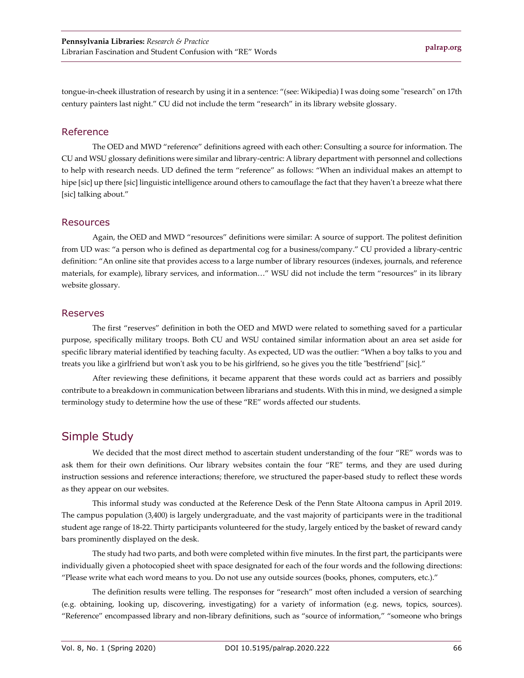tongue-in-cheek illustration of research by using it in a sentence: "(see: Wikipedia) I was doing some "research" on 17th century painters last night." CU did not include the term "research" in its library website glossary.

#### Reference

The OED and MWD "reference" definitions agreed with each other: Consulting a source for information. The CU and WSU glossary definitions were similar and library-centric: A library department with personnel and collections to help with research needs. UD defined the term "reference" as follows: "When an individual makes an attempt to hipe [sic] up there [sic] linguistic intelligence around others to camouflage the fact that they haven't a breeze what there [sic] talking about."

#### Resources

Again, the OED and MWD "resources" definitions were similar: A source of support. The politest definition from UD was: "a person who is defined as departmental cog for a business/company." CU provided a library-centric definition: "An online site that provides access to a large number of library resources (indexes, journals, and reference materials, for example), library services, and information…" WSU did not include the term "resources" in its library website glossary.

#### Reserves

The first "reserves" definition in both the OED and MWD were related to something saved for a particular purpose, specifically military troops. Both CU and WSU contained similar information about an area set aside for specific library material identified by teaching faculty. As expected, UD was the outlier: "When a boy talks to you and treats you like a girlfriend but won't ask you to be his girlfriend, so he gives you the title "bestfriend" [sic]."

After reviewing these definitions, it became apparent that these words could act as barriers and possibly contribute to a breakdown in communication between librarians and students. With this in mind, we designed a simple terminology study to determine how the use of these "RE" words affected our students.

## Simple Study

We decided that the most direct method to ascertain student understanding of the four "RE" words was to ask them for their own definitions. Our library websites contain the four "RE" terms, and they are used during instruction sessions and reference interactions; therefore, we structured the paper-based study to reflect these words as they appear on our websites.

This informal study was conducted at the Reference Desk of the Penn State Altoona campus in April 2019. The campus population (3,400) is largely undergraduate, and the vast majority of participants were in the traditional student age range of 18-22. Thirty participants volunteered for the study, largely enticed by the basket of reward candy bars prominently displayed on the desk.

The study had two parts, and both were completed within five minutes. In the first part, the participants were individually given a photocopied sheet with space designated for each of the four words and the following directions: "Please write what each word means to you. Do not use any outside sources (books, phones, computers, etc.)."

The definition results were telling. The responses for "research" most often included a version of searching (e.g. obtaining, looking up, discovering, investigating) for a variety of information (e.g. news, topics, sources). "Reference" encompassed library and non-library definitions, such as "source of information," "someone who brings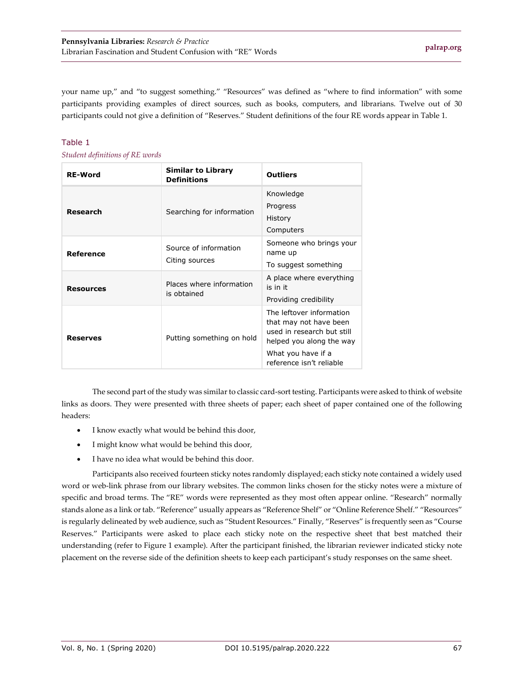your name up," and "to suggest something." "Resources" was defined as "where to find information" with some participants providing examples of direct sources, such as books, computers, and librarians. Twelve out of 30 participants could not give a definition of "Reserves." Student definitions of the four RE words appear in Table 1.

#### Table 1

*Student definitions of RE words*

| <b>RE-Word</b>   | <b>Similar to Library</b><br><b>Definitions</b> | <b>Outliers</b>                                                                                                                                                |
|------------------|-------------------------------------------------|----------------------------------------------------------------------------------------------------------------------------------------------------------------|
| Research         | Searching for information                       | Knowledge<br>Progress<br>History<br>Computers                                                                                                                  |
| Reference        | Source of information<br>Citing sources         | Someone who brings your<br>name up<br>To suggest something                                                                                                     |
| <b>Resources</b> | Places where information<br>is obtained         | A place where everything<br>is in it<br>Providing credibility                                                                                                  |
| <b>Reserves</b>  | Putting something on hold                       | The leftover information<br>that may not have been<br>used in research but still<br>helped you along the way<br>What you have if a<br>reference isn't reliable |

The second part of the study was similar to classic card-sort testing. Participants were asked to think of website links as doors. They were presented with three sheets of paper; each sheet of paper contained one of the following headers:

- I know exactly what would be behind this door,
- I might know what would be behind this door,
- I have no idea what would be behind this door.

Participants also received fourteen sticky notes randomly displayed; each sticky note contained a widely used word or web-link phrase from our library websites. The common links chosen for the sticky notes were a mixture of specific and broad terms. The "RE" words were represented as they most often appear online. "Research" normally stands alone as a link or tab. "Reference" usually appears as "Reference Shelf" or "Online Reference Shelf." "Resources" is regularly delineated by web audience, such as "Student Resources." Finally, "Reserves" is frequently seen as "Course Reserves." Participants were asked to place each sticky note on the respective sheet that best matched their understanding (refer to Figure 1 example). After the participant finished, the librarian reviewer indicated sticky note placement on the reverse side of the definition sheets to keep each participant's study responses on the same sheet.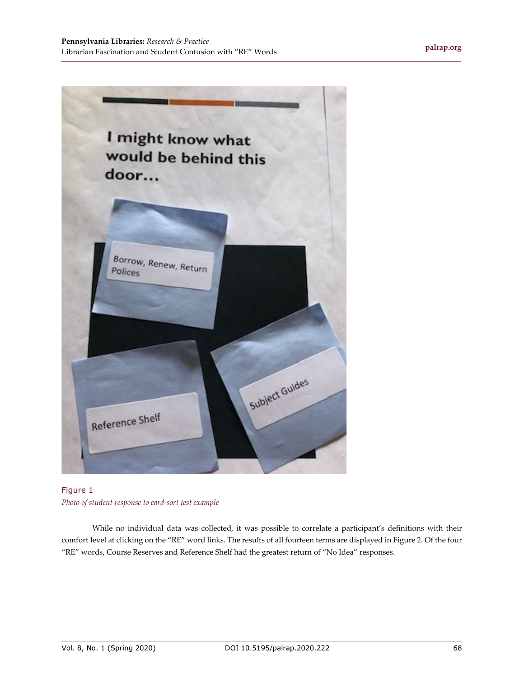

Figure 1 *Photo of student response to card-sort test example*

While no individual data was collected, it was possible to correlate a participant's definitions with their comfort level at clicking on the "RE" word links. The results of all fourteen terms are displayed in Figure 2. Of the four "RE" words, Course Reserves and Reference Shelf had the greatest return of "No Idea" responses.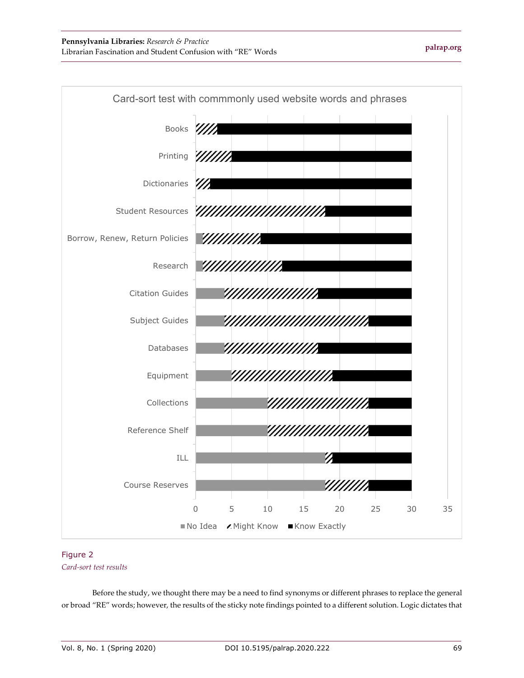

#### Figure 2

#### *Card-sort test results*

Before the study, we thought there may be a need to find synonyms or different phrases to replace the general or broad "RE" words; however, the results of the sticky note findings pointed to a different solution. Logic dictates that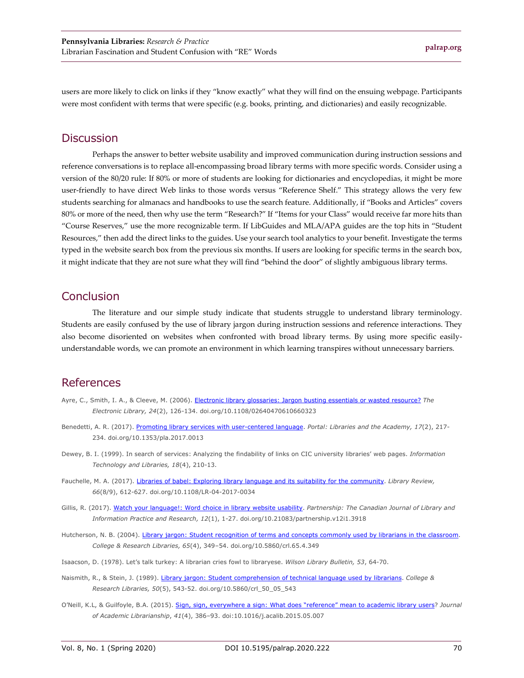users are more likely to click on links if they "know exactly" what they will find on the ensuing webpage. Participants were most confident with terms that were specific (e.g. books, printing, and dictionaries) and easily recognizable.

### **Discussion**

Perhaps the answer to better website usability and improved communication during instruction sessions and reference conversations is to replace all-encompassing broad library terms with more specific words. Consider using a version of the 80/20 rule: If 80% or more of students are looking for dictionaries and encyclopedias, it might be more user-friendly to have direct Web links to those words versus "Reference Shelf." This strategy allows the very few students searching for almanacs and handbooks to use the search feature. Additionally, if "Books and Articles" covers 80% or more of the need, then why use the term "Research?" If "Items for your Class" would receive far more hits than "Course Reserves," use the more recognizable term. If LibGuides and MLA/APA guides are the top hits in "Student Resources," then add the direct links to the guides. Use your search tool analytics to your benefit. Investigate the terms typed in the website search box from the previous six months. If users are looking for specific terms in the search box, it might indicate that they are not sure what they will find "behind the door" of slightly ambiguous library terms.

## **Conclusion**

The literature and our simple study indicate that students struggle to understand library terminology. Students are easily confused by the use of library jargon during instruction sessions and reference interactions. They also become disoriented on websites when confronted with broad library terms. By using more specific easilyunderstandable words, we can promote an environment in which learning transpires without unnecessary barriers.

## References

- Ayre, C., Smith, I. A., & Cleeve, M. (2006)[. Electronic library glossaries: Jargon busting essentials or wasted resource?](https://doi.org/10.1108/02640470610660323) *The Electronic Library, 24*(2), 126-134. doi.org/10.1108/02640470610660323
- Benedetti, A. R. (2017). [Promoting library services with user-centered language.](https://doi.org/10.1353/pla.2017.0013) *Portal: Libraries and the Academy, 17*(2), 217- 234. doi.org/10.1353/pla.2017.0013
- Dewey, B. I. (1999). In search of services: Analyzing the findability of links on CIC university libraries' web pages. *Information Technology and Libraries, 18*(4), 210-13.
- Fauchelle, M. A. (2017). [Libraries of babel: Exploring library language and its suitability for the community.](https://doi.org/10.1108/LR-04-2017-0034) *Library Review, 66*(8/9), 612-627. doi.org/10.1108/LR-04-2017-0034
- Gillis, R. (2017). [Watch your language!: Word choice in library website usability.](https://doi.org/10.21083/partnership.v12i1.3918) *Partnership: The Canadian Journal of Library and Information Practice and Research, 12*(1), 1-27. doi.org/10.21083/partnership.v12i1.3918
- Hutcherson, N. B. (2004). [Library jargon: Student recognition of terms and concepts commonly used by librarians in the classroom.](https://doi.org/10.5860/crl.65.4.349) *College & Research Libraries, 65*(4), 349–54. doi.org/10.5860/crl.65.4.349
- Isaacson, D. (1978). Let's talk turkey: A librarian cries fowl to libraryese. *Wilson Library Bulletin, 53*, 64-70.
- Naismith, R., & Stein, J. (1989). [Library jargon: Student comprehension of technical language used by librarians.](https://doi.org/10.5860/crl_50_05_543) *College & Research Libraries, 50*(5), 543-52. doi.org/10.5860/crl\_50\_05\_543
- O'Neill, K.L, & Guilfoyle, B.A. (2015). [Sign, sign, everywhere a sign: What does "reference" mean to academic library users?](http://doi.org/10.1016/j.acalib.2015.05.007) *Journal of Academic Librarianship*, *41*(4), 386–93. doi:10.1016/j.acalib.2015.05.007